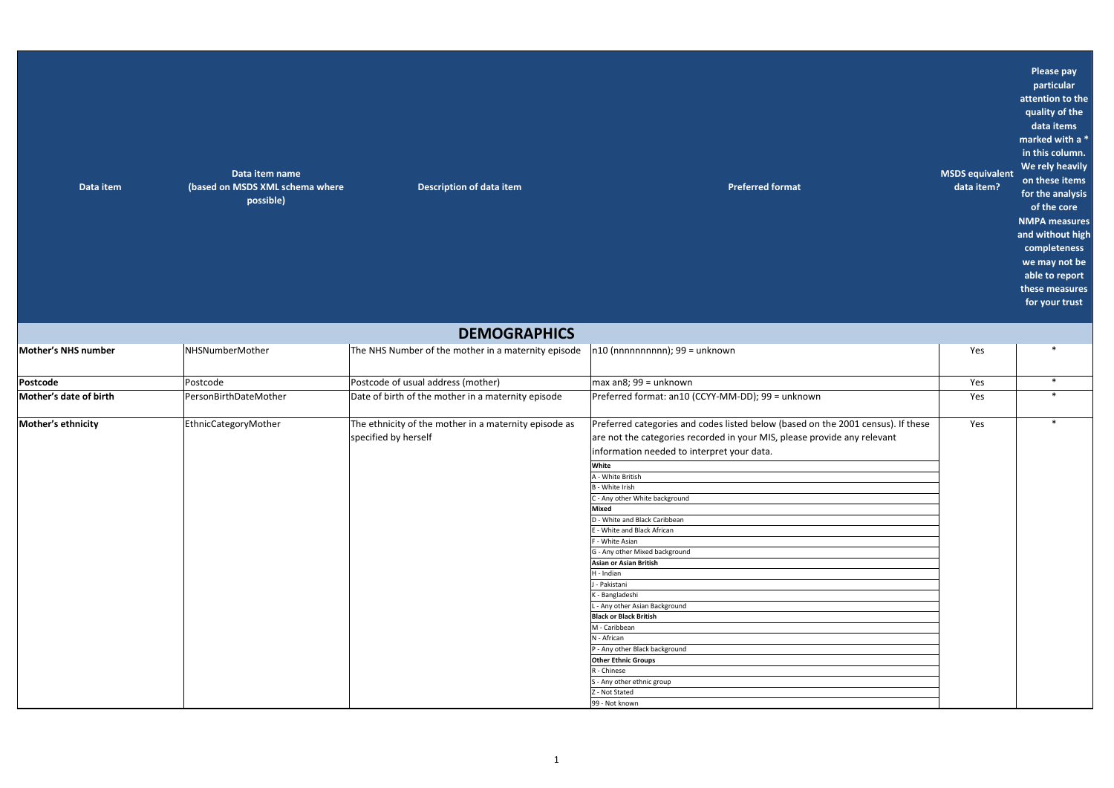| Data item | Data item name<br>(based on MSDS XML schema where | Description of data item | <b>Preferred format</b> |
|-----------|---------------------------------------------------|--------------------------|-------------------------|
|           | possible)                                         |                          |                         |
|           |                                                   |                          |                         |
|           |                                                   |                          |                         |
|           |                                                   |                          |                         |
|           |                                                   |                          |                         |

**data item?**

**MSDS equivalent Please pay particular attention to the quality of the data items marked with a \* in this column. We rely heavily on these items for the analysis of the core NMPA measures and without high completeness we may not be able to report these measures for your trust**

|                        |                       | <b>DEMOGRAPHICS</b>                                                           |                                                                                                                                                                                                            |     |        |
|------------------------|-----------------------|-------------------------------------------------------------------------------|------------------------------------------------------------------------------------------------------------------------------------------------------------------------------------------------------------|-----|--------|
| Mother's NHS number    | NHSNumberMother       | The NHS Number of the mother in a maternity episode                           | $ n10 (nnnnnnnnn)$ ; 99 = unknown                                                                                                                                                                          | Yes |        |
| Postcode               | Postcode              | Postcode of usual address (mother)                                            | $max$ an $8$ ; 99 = unknown                                                                                                                                                                                | Yes | $\ast$ |
| Mother's date of birth | PersonBirthDateMother | Date of birth of the mother in a maternity episode                            | Preferred format: an10 (CCYY-MM-DD); 99 = unknown                                                                                                                                                          | Yes | $\ast$ |
| Mother's ethnicity     | EthnicCategoryMother  | The ethnicity of the mother in a maternity episode as<br>specified by herself | Preferred categories and codes listed below (based on the 2001 census). If these<br>are not the categories recorded in your MIS, please provide any relevant<br>information needed to interpret your data. | Yes | $\ast$ |
|                        |                       |                                                                               | White                                                                                                                                                                                                      |     |        |
|                        |                       |                                                                               | A - White British                                                                                                                                                                                          |     |        |
|                        |                       |                                                                               | <b>B</b> - White Irish                                                                                                                                                                                     |     |        |
|                        |                       |                                                                               | C - Any other White background                                                                                                                                                                             |     |        |
|                        |                       |                                                                               | Mixed                                                                                                                                                                                                      |     |        |
|                        |                       |                                                                               | D - White and Black Caribbean                                                                                                                                                                              |     |        |
|                        |                       |                                                                               | E - White and Black African                                                                                                                                                                                |     |        |
|                        |                       |                                                                               | - White Asian                                                                                                                                                                                              |     |        |
|                        |                       |                                                                               | G - Any other Mixed background                                                                                                                                                                             |     |        |
|                        |                       |                                                                               | Asian or Asian British                                                                                                                                                                                     |     |        |
|                        |                       |                                                                               | H - Indian                                                                                                                                                                                                 |     |        |
|                        |                       |                                                                               | - Pakistani                                                                                                                                                                                                |     |        |
|                        |                       |                                                                               | K - Bangladeshi                                                                                                                                                                                            |     |        |
|                        |                       |                                                                               | L - Any other Asian Background                                                                                                                                                                             |     |        |
|                        |                       |                                                                               | <b>Black or Black British</b>                                                                                                                                                                              |     |        |
|                        |                       |                                                                               | M - Caribbean                                                                                                                                                                                              |     |        |
|                        |                       |                                                                               | N - African                                                                                                                                                                                                |     |        |
|                        |                       |                                                                               | P - Any other Black background                                                                                                                                                                             |     |        |
|                        |                       |                                                                               | <b>Other Ethnic Groups</b>                                                                                                                                                                                 |     |        |
|                        |                       |                                                                               | R - Chinese                                                                                                                                                                                                |     |        |
|                        |                       |                                                                               | S - Any other ethnic group                                                                                                                                                                                 |     |        |
|                        |                       |                                                                               | Z - Not Stated                                                                                                                                                                                             |     |        |
|                        |                       |                                                                               | 99 - Not known                                                                                                                                                                                             |     |        |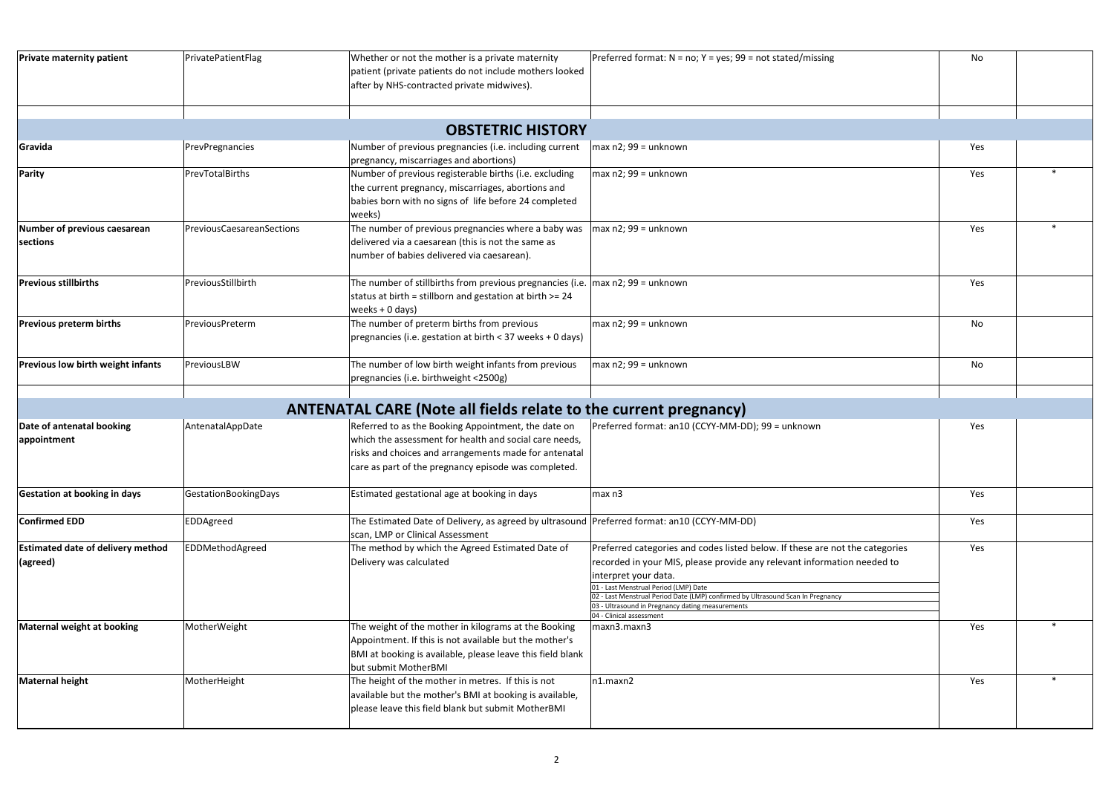| <b>Private maternity patient</b>                     | PrivatePatientFlag        | Whether or not the mother is a private maternity<br>patient (private patients do not include mothers looked<br>after by NHS-contracted private midwives).                                                                      | Preferred format: $N = no$ ; $Y = yes$ ; 99 = not stated/missing                                                                                                                                                                                                                                                                                                                            | No  |  |
|------------------------------------------------------|---------------------------|--------------------------------------------------------------------------------------------------------------------------------------------------------------------------------------------------------------------------------|---------------------------------------------------------------------------------------------------------------------------------------------------------------------------------------------------------------------------------------------------------------------------------------------------------------------------------------------------------------------------------------------|-----|--|
|                                                      |                           | <b>OBSTETRIC HISTORY</b>                                                                                                                                                                                                       |                                                                                                                                                                                                                                                                                                                                                                                             |     |  |
| Gravida                                              | PrevPregnancies           | Number of previous pregnancies (i.e. including current<br>pregnancy, miscarriages and abortions)                                                                                                                               | $\vert$ max n2; 99 = unknown                                                                                                                                                                                                                                                                                                                                                                | Yes |  |
| <b>Parity</b>                                        | PrevTotalBirths           | Number of previous registerable births (i.e. excluding<br>the current pregnancy, miscarriages, abortions and<br>babies born with no signs of life before 24 completed<br> weeks)                                               | $\vert$ max n2; 99 = unknown                                                                                                                                                                                                                                                                                                                                                                | Yes |  |
| Number of previous caesarean<br>sections             | PreviousCaesareanSections | The number of previous pregnancies where a baby was<br>delivered via a caesarean (this is not the same as<br>number of babies delivered via caesarean).                                                                        | $\vert$ max n2; 99 = unknown                                                                                                                                                                                                                                                                                                                                                                | Yes |  |
| <b>Previous stillbirths</b>                          | PreviousStillbirth        | The number of stillbirths from previous pregnancies (i.e. $\vert$ max n2; 99 = unknown<br>status at birth = stillborn and gestation at birth >= 24<br>weeks + 0 days)                                                          |                                                                                                                                                                                                                                                                                                                                                                                             | Yes |  |
| <b>Previous preterm births</b>                       | PreviousPreterm           | The number of preterm births from previous<br>pregnancies (i.e. gestation at birth < 37 weeks + 0 days)                                                                                                                        | $\vert$ max n2; 99 = unknown                                                                                                                                                                                                                                                                                                                                                                | No  |  |
| Previous low birth weight infants                    | PreviousLBW               | The number of low birth weight infants from previous<br>pregnancies (i.e. birthweight <2500g)                                                                                                                                  | $\vert$ max n2; 99 = unknown                                                                                                                                                                                                                                                                                                                                                                | No  |  |
|                                                      |                           | <b>ANTENATAL CARE (Note all fields relate to the current pregnancy)</b>                                                                                                                                                        |                                                                                                                                                                                                                                                                                                                                                                                             |     |  |
| Date of antenatal booking<br>appointment             | AntenatalAppDate          | Referred to as the Booking Appointment, the date on<br>which the assessment for health and social care needs,<br>risks and choices and arrangements made for antenatal<br>care as part of the pregnancy episode was completed. | Preferred format: an10 (CCYY-MM-DD); 99 = unknown                                                                                                                                                                                                                                                                                                                                           | Yes |  |
| <b>Gestation at booking in days</b>                  | GestationBookingDays      | Estimated gestational age at booking in days                                                                                                                                                                                   | $\vert$ max n3                                                                                                                                                                                                                                                                                                                                                                              | Yes |  |
| Confirmed EDD                                        | EDDAgreed                 | The Estimated Date of Delivery, as agreed by ultrasound Preferred format: an10 (CCYY-MM-DD)<br>scan, LMP or Clinical Assessment                                                                                                |                                                                                                                                                                                                                                                                                                                                                                                             | Yes |  |
| <b>Estimated date of delivery method</b><br>(agreed) | EDDMethodAgreed           | The method by which the Agreed Estimated Date of<br>Delivery was calculated                                                                                                                                                    | Preferred categories and codes listed below. If these are not the categories<br>recorded in your MIS, please provide any relevant information needed to<br>interpret your data.<br>01 - Last Menstrual Period (LMP) Date<br>02 - Last Menstrual Period Date (LMP) confirmed by Ultrasound Scan In Pregnancy<br>03 - Ultrasound in Pregnancy dating measurements<br>04 - Clinical assessment | Yes |  |
| Maternal weight at booking                           | MotherWeight              | The weight of the mother in kilograms at the Booking<br>Appointment. If this is not available but the mother's<br>BMI at booking is available, please leave this field blank<br>but submit MotherBMI                           | maxn3.maxn3                                                                                                                                                                                                                                                                                                                                                                                 | Yes |  |
| Maternal height                                      | MotherHeight              | The height of the mother in metres. If this is not<br>available but the mother's BMI at booking is available,<br>please leave this field blank but submit MotherBMI                                                            | n1.maxn2                                                                                                                                                                                                                                                                                                                                                                                    | Yes |  |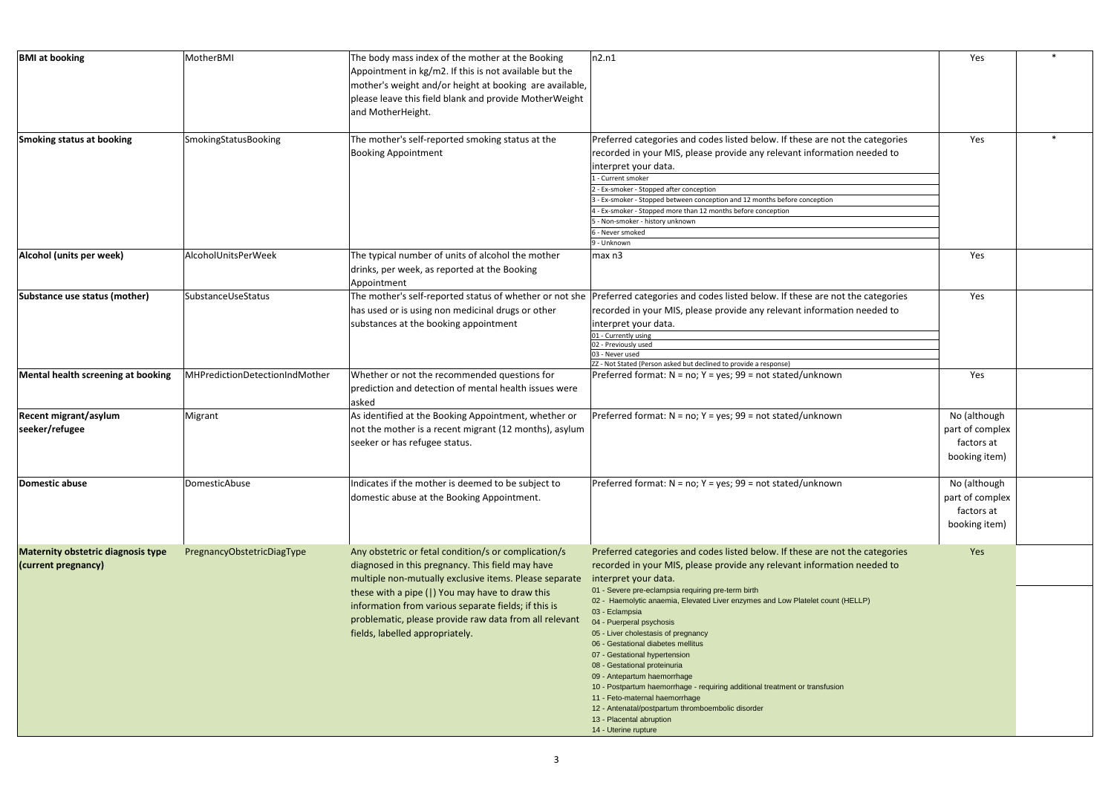|                                  | Yes                                                            | $\ast$ |
|----------------------------------|----------------------------------------------------------------|--------|
| t the categories<br>on needed to | Yes                                                            | $\ast$ |
|                                  | Yes                                                            |        |
| t the categories<br>on needed to | Yes                                                            |        |
|                                  | Yes                                                            |        |
|                                  | No (although<br>part of complex<br>factors at<br>booking item) |        |
|                                  | No (although<br>part of complex<br>factors at<br>booking item) |        |
| t the categories<br>on needed to | Yes                                                            |        |
| (HELLP)                          |                                                                |        |
| ١                                |                                                                |        |

| <b>BMI</b> at booking                                                                | MotherBMI                                 | The body mass index of the mother at the Booking<br>Appointment in kg/m2. If this is not available but the<br>mother's weight and/or height at booking are available,<br>please leave this field blank and provide MotherWeight<br>and MotherHeight.                                                                                                                       | n2.n1                                                                                                                                                                                                                                                                                                                                                                                                                                                                                                                                                                                                                                                                                                                                                                        | Yes                                                                   |  |
|--------------------------------------------------------------------------------------|-------------------------------------------|----------------------------------------------------------------------------------------------------------------------------------------------------------------------------------------------------------------------------------------------------------------------------------------------------------------------------------------------------------------------------|------------------------------------------------------------------------------------------------------------------------------------------------------------------------------------------------------------------------------------------------------------------------------------------------------------------------------------------------------------------------------------------------------------------------------------------------------------------------------------------------------------------------------------------------------------------------------------------------------------------------------------------------------------------------------------------------------------------------------------------------------------------------------|-----------------------------------------------------------------------|--|
| Smoking status at booking                                                            | SmokingStatusBooking                      | The mother's self-reported smoking status at the<br><b>Booking Appointment</b>                                                                                                                                                                                                                                                                                             | Preferred categories and codes listed below. If these are not the categories<br>recorded in your MIS, please provide any relevant information needed to<br>interpret your data.<br>1 - Current smoker<br>2 - Ex-smoker - Stopped after conception<br>3 - Ex-smoker - Stopped between conception and 12 months before conception<br>$ 4$ - Ex-smoker - Stopped more than 12 months before conception<br>5 - Non-smoker - history unknown<br>6 - Never smoked<br>9 - Unknown                                                                                                                                                                                                                                                                                                   | Yes                                                                   |  |
| Alcohol (units per week)<br>Substance use status (mother)                            | AlcoholUnitsPerWeek<br>SubstanceUseStatus | The typical number of units of alcohol the mother<br>drinks, per week, as reported at the Booking<br>Appointment<br>The mother's self-reported status of whether or not she<br>has used or is using non medicinal drugs or other<br>substances at the booking appointment                                                                                                  | $\vert$ max n3<br>Preferred categories and codes listed below. If these are not the categories<br>recorded in your MIS, please provide any relevant information needed to<br>interpret your data.<br>01 - Currently using<br>02 - Previously used<br>03 - Never used<br>ZZ - Not Stated (Person asked but declined to provide a response)                                                                                                                                                                                                                                                                                                                                                                                                                                    | Yes<br>Yes                                                            |  |
| Mental health screening at booking<br><b>Recent migrant/asylum</b><br>seeker/refugee | MHPredictionDetectionIndMother<br>Migrant | Whether or not the recommended questions for<br>prediction and detection of mental health issues were<br>asked<br>As identified at the Booking Appointment, whether or<br>not the mother is a recent migrant (12 months), asylum<br>seeker or has refugee status.                                                                                                          | Preferred format: $N = no$ ; $Y = yes$ ; 99 = not stated/unknown<br>Preferred format: $N = no$ ; $Y = yes$ ; 99 = not stated/unknown                                                                                                                                                                                                                                                                                                                                                                                                                                                                                                                                                                                                                                         | Yes<br>No (although<br>part of complex<br>factors at<br>booking item) |  |
| Domestic abuse                                                                       | DomesticAbuse                             | Indicates if the mother is deemed to be subject to<br>domestic abuse at the Booking Appointment.                                                                                                                                                                                                                                                                           | Preferred format: $N = no$ ; $Y = yes$ ; 99 = not stated/unknown                                                                                                                                                                                                                                                                                                                                                                                                                                                                                                                                                                                                                                                                                                             | No (although<br>part of complex<br>factors at<br>booking item)        |  |
| Maternity obstetric diagnosis type<br>(current pregnancy)                            | PregnancyObstetricDiagType                | Any obstetric or fetal condition/s or complication/s<br>diagnosed in this pregnancy. This field may have<br>multiple non-mutually exclusive items. Please separate<br>these with a pipe ( ) You may have to draw this<br>information from various separate fields; if this is<br>problematic, please provide raw data from all relevant<br>fields, labelled appropriately. | Preferred categories and codes listed below. If these are not the categories<br>recorded in your MIS, please provide any relevant information needed to<br>interpret your data.<br>01 - Severe pre-eclampsia requiring pre-term birth<br>02 - Haemolytic anaemia, Elevated Liver enzymes and Low Platelet count (HELLP)<br>03 - Eclampsia<br>04 - Puerperal psychosis<br>05 - Liver cholestasis of pregnancy<br>06 - Gestational diabetes mellitus<br>07 - Gestational hypertension<br>08 - Gestational proteinuria<br>09 - Antepartum haemorrhage<br>10 - Postpartum haemorrhage - requiring additional treatment or transfusion<br>11 - Feto-maternal haemorrhage<br>12 - Antenatal/postpartum thromboembolic disorder<br>13 - Placental abruption<br>14 - Uterine rupture | Yes                                                                   |  |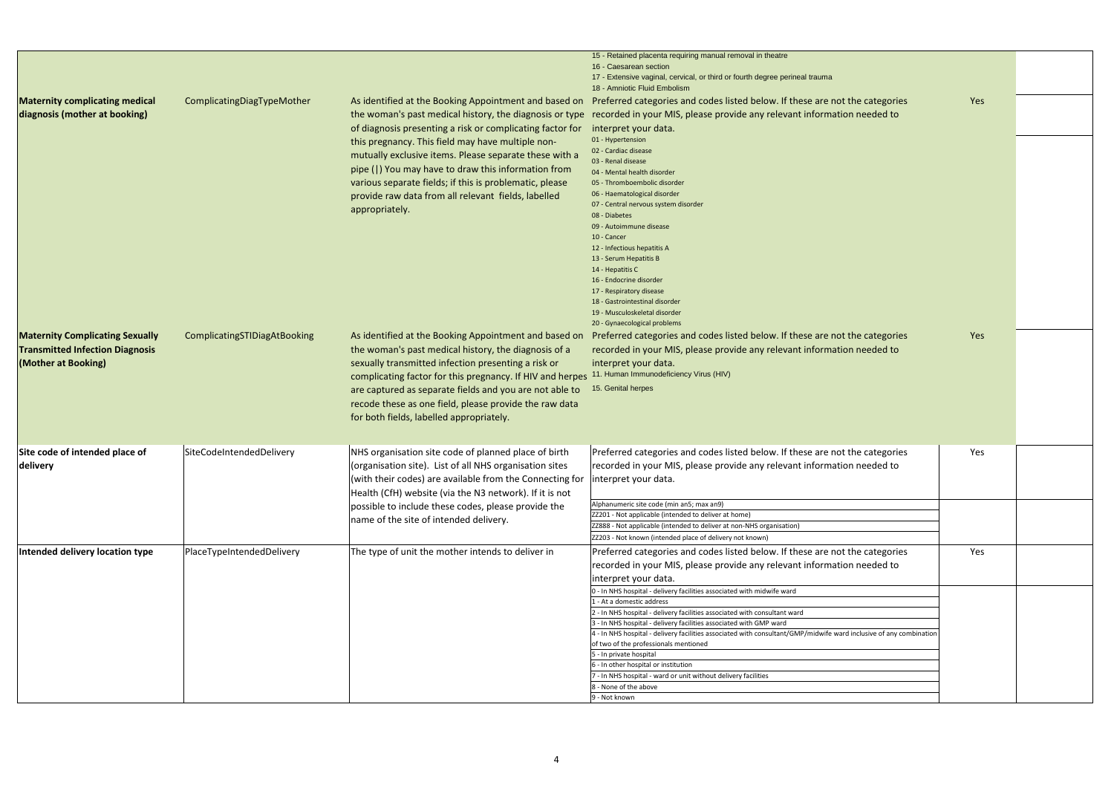|                                                                                                         |                              |                                                                                                                                                                                                                                                                                                                                                                                                                                | 15 - Retained placenta requiring manual removal in theatre<br>16 - Caesarean section<br>17 - Extensive vaginal, cervical, or third or fourth degree perineal trauma                                                                                                                                                                                                                                                                                                                                                                                                                                                                                                                                                                                                                     |     |  |
|---------------------------------------------------------------------------------------------------------|------------------------------|--------------------------------------------------------------------------------------------------------------------------------------------------------------------------------------------------------------------------------------------------------------------------------------------------------------------------------------------------------------------------------------------------------------------------------|-----------------------------------------------------------------------------------------------------------------------------------------------------------------------------------------------------------------------------------------------------------------------------------------------------------------------------------------------------------------------------------------------------------------------------------------------------------------------------------------------------------------------------------------------------------------------------------------------------------------------------------------------------------------------------------------------------------------------------------------------------------------------------------------|-----|--|
| <b>Maternity complicating medical</b><br>diagnosis (mother at booking)                                  | ComplicatingDiagTypeMother   | the woman's past medical history, the diagnosis or type<br>of diagnosis presenting a risk or complicating factor for<br>this pregnancy. This field may have multiple non-<br>mutually exclusive items. Please separate these with a<br>pipe ( ) You may have to draw this information from<br>various separate fields; if this is problematic, please<br>provide raw data from all relevant fields, labelled<br>appropriately. | 18 - Amniotic Fluid Embolism<br>As identified at the Booking Appointment and based on Preferred categories and codes listed below. If these are not the categories<br>recorded in your MIS, please provide any relevant information needed to<br>interpret your data.<br>01 - Hypertension<br>02 - Cardiac disease<br>03 - Renal disease<br>04 - Mental health disorder<br>05 - Thromboembolic disorder<br>06 - Haematological disorder<br>07 - Central nervous system disorder<br>08 - Diabetes<br>09 - Autoimmune disease<br>10 - Cancer<br>12 - Infectious hepatitis A<br>13 - Serum Hepatitis B<br>14 - Hepatitis C<br>16 - Endocrine disorder<br>17 - Respiratory disease<br>18 - Gastrointestinal disorder                                                                        | Yes |  |
| <b>Maternity Complicating Sexually</b><br><b>Transmitted Infection Diagnosis</b><br>(Mother at Booking) | ComplicatingSTIDiagAtBooking | As identified at the Booking Appointment and based on<br>the woman's past medical history, the diagnosis of a<br>sexually transmitted infection presenting a risk or<br>complicating factor for this pregnancy. If HIV and herpes<br>are captured as separate fields and you are not able to<br>recode these as one field, please provide the raw data<br>for both fields, labelled appropriately.                             | 19 - Musculoskeletal disorder<br>20 - Gynaecological problems<br>Preferred categories and codes listed below. If these are not the categories<br>recorded in your MIS, please provide any relevant information needed to<br>interpret your data.<br>11. Human Immunodeficiency Virus (HIV)<br>15. Genital herpes                                                                                                                                                                                                                                                                                                                                                                                                                                                                        | Yes |  |
| Site code of intended place of<br><b>delivery</b>                                                       | SiteCodeIntendedDelivery     | NHS organisation site code of planned place of birth<br>(organisation site). List of all NHS organisation sites<br>(with their codes) are available from the Connecting for  interpret your data.<br>Health (CfH) website (via the N3 network). If it is not<br>possible to include these codes, please provide the<br>name of the site of intended delivery.                                                                  | Preferred categories and codes listed below. If these are not the categories<br>recorded in your MIS, please provide any relevant information needed to<br>Alphanumeric site code (min an5; max an9)<br>ZZ201 - Not applicable (intended to deliver at home)<br>ZZ888 - Not applicable (intended to deliver at non-NHS organisation)<br>ZZ203 - Not known (intended place of delivery not known)                                                                                                                                                                                                                                                                                                                                                                                        | Yes |  |
| Intended delivery location type                                                                         | PlaceTypeIntendedDelivery    | The type of unit the mother intends to deliver in                                                                                                                                                                                                                                                                                                                                                                              | Preferred categories and codes listed below. If these are not the categories<br>recorded in your MIS, please provide any relevant information needed to<br>interpret your data.<br>0 - In NHS hospital - delivery facilities associated with midwife ward<br>1 - At a domestic address<br>2 - In NHS hospital - delivery facilities associated with consultant ward<br>3 - In NHS hospital - delivery facilities associated with GMP ward<br>4 - In NHS hospital - delivery facilities associated with consultant/GMP/midwife ward inclusive of any combination<br>of two of the professionals mentioned<br>5 - In private hospital<br>6 - In other hospital or institution<br>7 - In NHS hospital - ward or unit without delivery facilities<br>8 - None of the above<br>9 - Not known | Yes |  |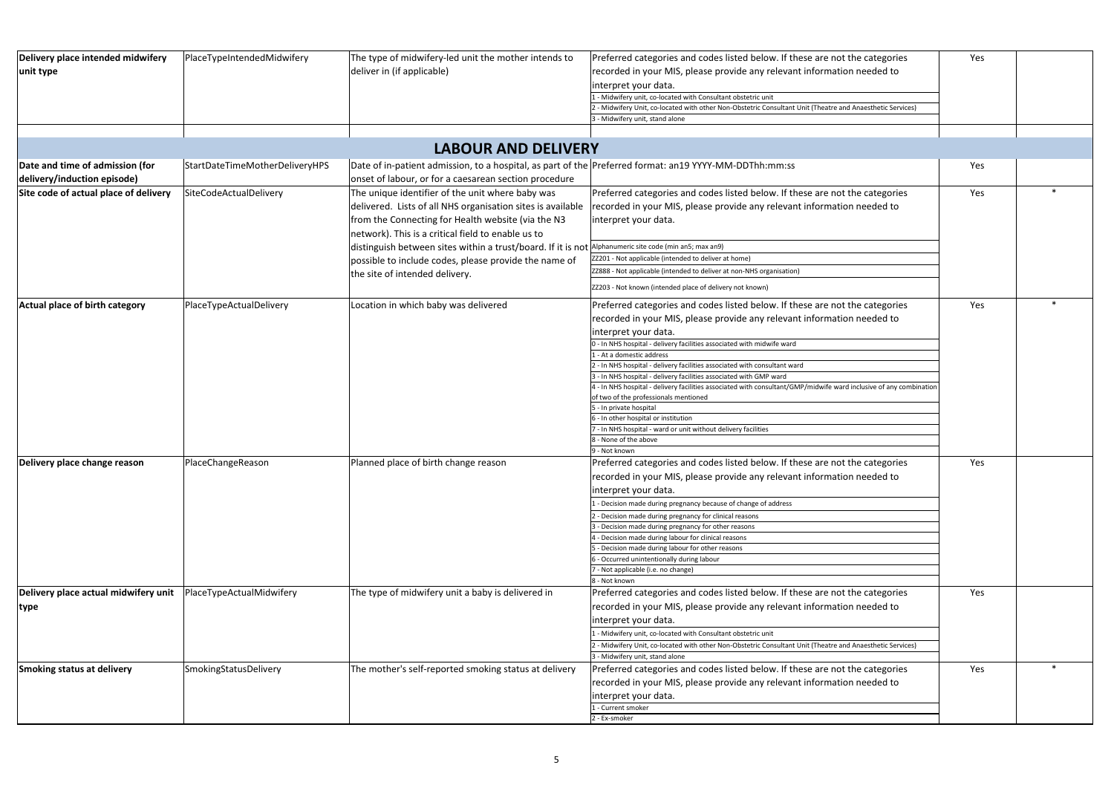| Delivery place intended midwifery     | PlaceTypeIntendedMidwifery     | The type of midwifery-led unit the mother intends to                                                   | Preferred categories and codes listed below. If these are not the categories                                                                                                             |                                 |  |
|---------------------------------------|--------------------------------|--------------------------------------------------------------------------------------------------------|------------------------------------------------------------------------------------------------------------------------------------------------------------------------------------------|---------------------------------|--|
| unit type                             |                                | deliver in (if applicable)                                                                             | recorded in your MIS, please provide any relevant information needed to                                                                                                                  |                                 |  |
|                                       |                                |                                                                                                        | interpret your data.                                                                                                                                                                     |                                 |  |
|                                       |                                |                                                                                                        | - Midwifery unit, co-located with Consultant obstetric unit                                                                                                                              |                                 |  |
|                                       |                                |                                                                                                        | - Midwifery Unit, co-located with other Non-Obstetric Consultant Unit (Theatre and Anaesthetic Services)                                                                                 |                                 |  |
|                                       |                                |                                                                                                        | 3 - Midwifery unit, stand alone                                                                                                                                                          |                                 |  |
|                                       |                                |                                                                                                        |                                                                                                                                                                                          |                                 |  |
|                                       |                                | <b>LABOUR AND DELIVERY</b>                                                                             |                                                                                                                                                                                          |                                 |  |
| Date and time of admission (for       | StartDateTimeMotherDeliveryHPS | Date of in-patient admission, to a hospital, as part of the Preferred format: an19 YYYY-MM-DDThh:mm:ss |                                                                                                                                                                                          | Yes                             |  |
| delivery/induction episode)           |                                | onset of labour, or for a caesarean section procedure                                                  |                                                                                                                                                                                          |                                 |  |
| Site code of actual place of delivery | SiteCodeActualDelivery         | The unique identifier of the unit where baby was                                                       | Preferred categories and codes listed below. If these are not the categories                                                                                                             | Yes                             |  |
|                                       |                                | delivered. Lists of all NHS organisation sites is available                                            | recorded in your MIS, please provide any relevant information needed to                                                                                                                  |                                 |  |
|                                       |                                | from the Connecting for Health website (via the N3                                                     | interpret your data.                                                                                                                                                                     |                                 |  |
|                                       |                                | network). This is a critical field to enable us to                                                     |                                                                                                                                                                                          |                                 |  |
|                                       |                                | distinguish between sites within a trust/board. If it is not Alphanumeric site code (min an5; max an9) |                                                                                                                                                                                          |                                 |  |
|                                       |                                | possible to include codes, please provide the name of                                                  | ZZ201 - Not applicable (intended to deliver at home)                                                                                                                                     | Yes<br>Yes<br>Yes<br>Yes<br>Yes |  |
|                                       |                                |                                                                                                        | ZZ888 - Not applicable (intended to deliver at non-NHS organisation)                                                                                                                     |                                 |  |
|                                       |                                | the site of intended delivery.                                                                         |                                                                                                                                                                                          |                                 |  |
|                                       |                                |                                                                                                        | ZZ203 - Not known (intended place of delivery not known)                                                                                                                                 |                                 |  |
| Actual place of birth category        | PlaceTypeActualDelivery        | Location in which baby was delivered                                                                   | Preferred categories and codes listed below. If these are not the categories                                                                                                             |                                 |  |
|                                       |                                |                                                                                                        | recorded in your MIS, please provide any relevant information needed to                                                                                                                  |                                 |  |
|                                       |                                |                                                                                                        | interpret your data.                                                                                                                                                                     |                                 |  |
|                                       |                                |                                                                                                        | 0 - In NHS hospital - delivery facilities associated with midwife ward                                                                                                                   |                                 |  |
|                                       |                                |                                                                                                        | - At a domestic address                                                                                                                                                                  |                                 |  |
|                                       |                                |                                                                                                        | 2 - In NHS hospital - delivery facilities associated with consultant ward                                                                                                                |                                 |  |
|                                       |                                |                                                                                                        | 3 - In NHS hospital - delivery facilities associated with GMP ward<br>4 - In NHS hospital - delivery facilities associated with consultant/GMP/midwife ward inclusive of any combination |                                 |  |
|                                       |                                |                                                                                                        | of two of the professionals mentioned                                                                                                                                                    |                                 |  |
|                                       |                                |                                                                                                        | 5 - In private hospital                                                                                                                                                                  |                                 |  |
|                                       |                                |                                                                                                        | 6 - In other hospital or institution                                                                                                                                                     |                                 |  |
|                                       |                                |                                                                                                        | 7 - In NHS hospital - ward or unit without delivery facilities                                                                                                                           |                                 |  |
|                                       |                                |                                                                                                        | 8 - None of the above<br>9 - Not known                                                                                                                                                   |                                 |  |
| Delivery place change reason          | PlaceChangeReason              | Planned place of birth change reason                                                                   | Preferred categories and codes listed below. If these are not the categories                                                                                                             |                                 |  |
|                                       |                                |                                                                                                        | recorded in your MIS, please provide any relevant information needed to                                                                                                                  |                                 |  |
|                                       |                                |                                                                                                        |                                                                                                                                                                                          |                                 |  |
|                                       |                                |                                                                                                        | interpret your data.                                                                                                                                                                     |                                 |  |
|                                       |                                |                                                                                                        | 1 - Decision made during pregnancy because of change of address                                                                                                                          |                                 |  |
|                                       |                                |                                                                                                        | - Decision made during pregnancy for clinical reasons<br>- Decision made during pregnancy for other reasons                                                                              |                                 |  |
|                                       |                                |                                                                                                        | - Decision made during labour for clinical reasons                                                                                                                                       |                                 |  |
|                                       |                                |                                                                                                        | Decision made during labour for other reasons                                                                                                                                            |                                 |  |
|                                       |                                |                                                                                                        | Occurred unintentionally during labour                                                                                                                                                   |                                 |  |
|                                       |                                |                                                                                                        | I - Not applicable (i.e. no change)                                                                                                                                                      |                                 |  |
|                                       |                                |                                                                                                        | 8 - Not known                                                                                                                                                                            |                                 |  |
| Delivery place actual midwifery unit  | PlaceTypeActualMidwifery       | The type of midwifery unit a baby is delivered in                                                      | Preferred categories and codes listed below. If these are not the categories                                                                                                             |                                 |  |
| type                                  |                                |                                                                                                        | recorded in your MIS, please provide any relevant information needed to                                                                                                                  |                                 |  |
|                                       |                                |                                                                                                        | interpret your data.                                                                                                                                                                     |                                 |  |
|                                       |                                |                                                                                                        | - Midwifery unit, co-located with Consultant obstetric unit                                                                                                                              |                                 |  |
|                                       |                                |                                                                                                        | 2 - Midwifery Unit, co-located with other Non-Obstetric Consultant Unit (Theatre and Anaesthetic Services)                                                                               |                                 |  |
|                                       |                                |                                                                                                        | 3 - Midwifery unit, stand alone                                                                                                                                                          |                                 |  |
| Smoking status at delivery            | SmokingStatusDelivery          | The mother's self-reported smoking status at delivery                                                  | Preferred categories and codes listed below. If these are not the categories                                                                                                             |                                 |  |
|                                       |                                |                                                                                                        | recorded in your MIS, please provide any relevant information needed to                                                                                                                  |                                 |  |
|                                       |                                |                                                                                                        | interpret your data.                                                                                                                                                                     |                                 |  |
|                                       |                                |                                                                                                        | 1 - Current smoker                                                                                                                                                                       |                                 |  |
|                                       |                                |                                                                                                        | 2 - Ex-smoker                                                                                                                                                                            |                                 |  |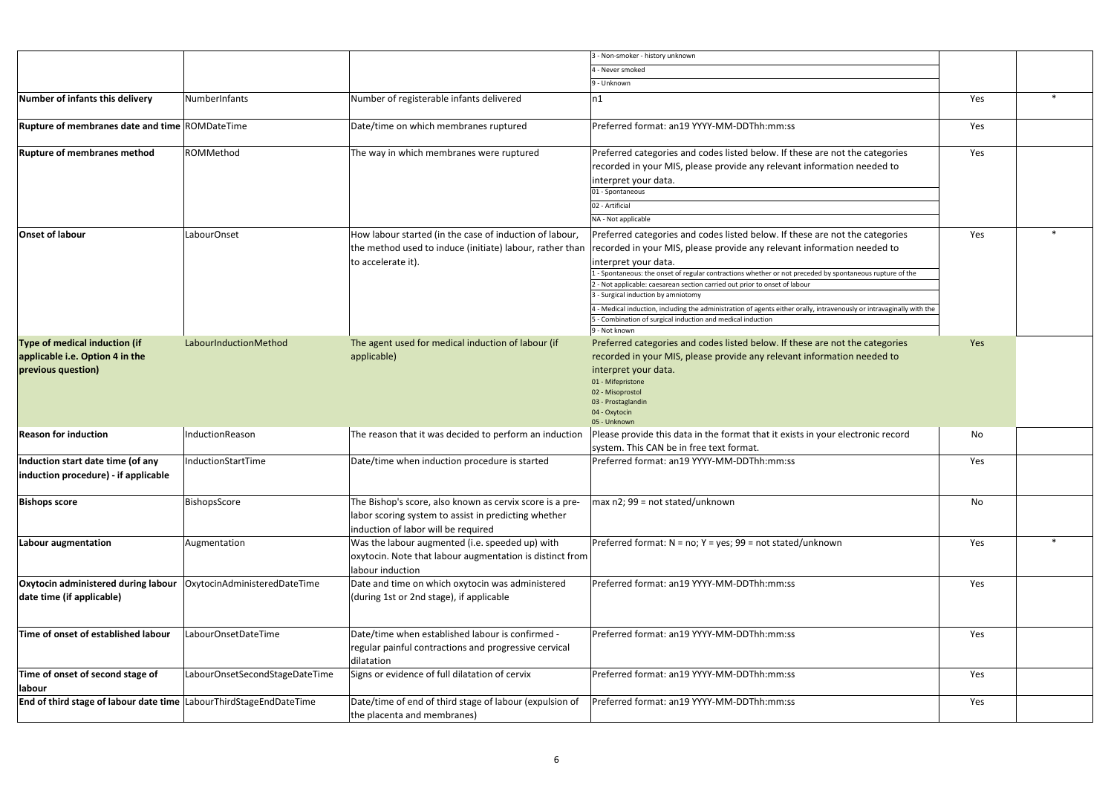|                                                                                        |                                                                                                                                                                                                                                                                                                                                                                                                                                                                                                                                                                                                                                                                                                                                                                                                                                                                                                                                                                                                                                                                                                                                                                                                                                                                                                                                                                                                                                                                                                                                                                                                                                                                                                                                                                                                                                                                                                                                                                                                                                                                                                                                                                                                                                                                                                                                                                                                                                                                                                                                                                                                                                                                                                                 |                                                                                                                         | 3 - Non-smoker - history unknown           |     |  |
|----------------------------------------------------------------------------------------|-----------------------------------------------------------------------------------------------------------------------------------------------------------------------------------------------------------------------------------------------------------------------------------------------------------------------------------------------------------------------------------------------------------------------------------------------------------------------------------------------------------------------------------------------------------------------------------------------------------------------------------------------------------------------------------------------------------------------------------------------------------------------------------------------------------------------------------------------------------------------------------------------------------------------------------------------------------------------------------------------------------------------------------------------------------------------------------------------------------------------------------------------------------------------------------------------------------------------------------------------------------------------------------------------------------------------------------------------------------------------------------------------------------------------------------------------------------------------------------------------------------------------------------------------------------------------------------------------------------------------------------------------------------------------------------------------------------------------------------------------------------------------------------------------------------------------------------------------------------------------------------------------------------------------------------------------------------------------------------------------------------------------------------------------------------------------------------------------------------------------------------------------------------------------------------------------------------------------------------------------------------------------------------------------------------------------------------------------------------------------------------------------------------------------------------------------------------------------------------------------------------------------------------------------------------------------------------------------------------------------------------------------------------------------------------------------------------------|-------------------------------------------------------------------------------------------------------------------------|--------------------------------------------|-----|--|
|                                                                                        |                                                                                                                                                                                                                                                                                                                                                                                                                                                                                                                                                                                                                                                                                                                                                                                                                                                                                                                                                                                                                                                                                                                                                                                                                                                                                                                                                                                                                                                                                                                                                                                                                                                                                                                                                                                                                                                                                                                                                                                                                                                                                                                                                                                                                                                                                                                                                                                                                                                                                                                                                                                                                                                                                                                 |                                                                                                                         | 4 - Never smoked                           |     |  |
|                                                                                        | 9 - Unknown<br>NumberInfants<br>Number of registerable infants delivered<br>Yes<br> n1 <br>Date/time on which membranes ruptured<br>Preferred format: an19 YYYY-MM-DDThh:mm:ss<br>Yes<br>ROMMethod<br>The way in which membranes were ruptured<br>Preferred categories and codes listed below. If these are not the categories<br>Yes<br>recorded in your MIS, please provide any relevant information needed to<br>interpret your data.<br>01 - Spontaneous<br>02 - Artificial<br>NA - Not applicable<br>LabourOnset<br>How labour started (in the case of induction of labour,<br>Preferred categories and codes listed below. If these are not the categories<br>Yes<br>the method used to induce (initiate) labour, rather than<br>recorded in your MIS, please provide any relevant information needed to<br>to accelerate it).<br>interpret your data.<br>- Spontaneous: the onset of regular contractions whether or not preceded by spontaneous rupture of the<br>- Not applicable: caesarean section carried out prior to onset of labour<br>3 - Surgical induction by amniotomy<br>4 - Medical induction, including the administration of agents either orally, intravenously or intravaginally with the<br>5 - Combination of surgical induction and medical induction<br>9 - Not known<br>LabourInductionMethod<br>The agent used for medical induction of labour (if<br>Preferred categories and codes listed below. If these are not the categories<br>Yes<br>recorded in your MIS, please provide any relevant information needed to<br>applicable)<br>interpret your data.<br>01 - Mifepristone<br>02 - Misoprostol<br>03 - Prostaglandin<br>04 - Oxytocin<br>05 - Unknown<br>InductionReason<br>The reason that it was decided to perform an induction<br>Please provide this data in the format that it exists in your electronic record<br>No<br>system. This CAN be in free text format.<br>Date/time when induction procedure is started<br>Preferred format: an19 YYYY-MM-DDThh:mm:ss<br>InductionStartTime<br>Yes<br>The Bishop's score, also known as cervix score is a pre-<br>max n2; 99 = not stated/unknown<br>BishopsScore<br>No<br>labor scoring system to assist in predicting whether<br>induction of labor will be required<br>Was the labour augmented (i.e. speeded up) with<br>Preferred format: N = no; Y = yes; 99 = not stated/unknown<br>Augmentation<br>Yes<br>oxytocin. Note that labour augmentation is distinct from<br>labour induction<br>Date and time on which oxytocin was administered<br>Oxytocin administered during labour   OxytocinAdministeredDateTime<br>Preferred format: an19 YYYY-MM-DDThh:mm:ss<br>Yes<br>(during 1st or 2nd stage), if applicable |                                                                                                                         |                                            |     |  |
| Number of infants this delivery                                                        |                                                                                                                                                                                                                                                                                                                                                                                                                                                                                                                                                                                                                                                                                                                                                                                                                                                                                                                                                                                                                                                                                                                                                                                                                                                                                                                                                                                                                                                                                                                                                                                                                                                                                                                                                                                                                                                                                                                                                                                                                                                                                                                                                                                                                                                                                                                                                                                                                                                                                                                                                                                                                                                                                                                 |                                                                                                                         |                                            |     |  |
| Rupture of membranes date and time ROMDateTime                                         |                                                                                                                                                                                                                                                                                                                                                                                                                                                                                                                                                                                                                                                                                                                                                                                                                                                                                                                                                                                                                                                                                                                                                                                                                                                                                                                                                                                                                                                                                                                                                                                                                                                                                                                                                                                                                                                                                                                                                                                                                                                                                                                                                                                                                                                                                                                                                                                                                                                                                                                                                                                                                                                                                                                 |                                                                                                                         |                                            |     |  |
| <b>Rupture of membranes method</b>                                                     |                                                                                                                                                                                                                                                                                                                                                                                                                                                                                                                                                                                                                                                                                                                                                                                                                                                                                                                                                                                                                                                                                                                                                                                                                                                                                                                                                                                                                                                                                                                                                                                                                                                                                                                                                                                                                                                                                                                                                                                                                                                                                                                                                                                                                                                                                                                                                                                                                                                                                                                                                                                                                                                                                                                 |                                                                                                                         |                                            |     |  |
| Onset of labour                                                                        |                                                                                                                                                                                                                                                                                                                                                                                                                                                                                                                                                                                                                                                                                                                                                                                                                                                                                                                                                                                                                                                                                                                                                                                                                                                                                                                                                                                                                                                                                                                                                                                                                                                                                                                                                                                                                                                                                                                                                                                                                                                                                                                                                                                                                                                                                                                                                                                                                                                                                                                                                                                                                                                                                                                 |                                                                                                                         |                                            |     |  |
| Type of medical induction (if<br>applicable i.e. Option 4 in the<br>previous question) |                                                                                                                                                                                                                                                                                                                                                                                                                                                                                                                                                                                                                                                                                                                                                                                                                                                                                                                                                                                                                                                                                                                                                                                                                                                                                                                                                                                                                                                                                                                                                                                                                                                                                                                                                                                                                                                                                                                                                                                                                                                                                                                                                                                                                                                                                                                                                                                                                                                                                                                                                                                                                                                                                                                 |                                                                                                                         |                                            |     |  |
| <b>Reason for induction</b>                                                            |                                                                                                                                                                                                                                                                                                                                                                                                                                                                                                                                                                                                                                                                                                                                                                                                                                                                                                                                                                                                                                                                                                                                                                                                                                                                                                                                                                                                                                                                                                                                                                                                                                                                                                                                                                                                                                                                                                                                                                                                                                                                                                                                                                                                                                                                                                                                                                                                                                                                                                                                                                                                                                                                                                                 |                                                                                                                         |                                            |     |  |
| Induction start date time (of any<br>induction procedure) - if applicable              |                                                                                                                                                                                                                                                                                                                                                                                                                                                                                                                                                                                                                                                                                                                                                                                                                                                                                                                                                                                                                                                                                                                                                                                                                                                                                                                                                                                                                                                                                                                                                                                                                                                                                                                                                                                                                                                                                                                                                                                                                                                                                                                                                                                                                                                                                                                                                                                                                                                                                                                                                                                                                                                                                                                 |                                                                                                                         |                                            |     |  |
| <b>Bishops score</b>                                                                   |                                                                                                                                                                                                                                                                                                                                                                                                                                                                                                                                                                                                                                                                                                                                                                                                                                                                                                                                                                                                                                                                                                                                                                                                                                                                                                                                                                                                                                                                                                                                                                                                                                                                                                                                                                                                                                                                                                                                                                                                                                                                                                                                                                                                                                                                                                                                                                                                                                                                                                                                                                                                                                                                                                                 |                                                                                                                         |                                            |     |  |
| <b>Labour augmentation</b>                                                             |                                                                                                                                                                                                                                                                                                                                                                                                                                                                                                                                                                                                                                                                                                                                                                                                                                                                                                                                                                                                                                                                                                                                                                                                                                                                                                                                                                                                                                                                                                                                                                                                                                                                                                                                                                                                                                                                                                                                                                                                                                                                                                                                                                                                                                                                                                                                                                                                                                                                                                                                                                                                                                                                                                                 |                                                                                                                         |                                            |     |  |
| date time (if applicable)                                                              |                                                                                                                                                                                                                                                                                                                                                                                                                                                                                                                                                                                                                                                                                                                                                                                                                                                                                                                                                                                                                                                                                                                                                                                                                                                                                                                                                                                                                                                                                                                                                                                                                                                                                                                                                                                                                                                                                                                                                                                                                                                                                                                                                                                                                                                                                                                                                                                                                                                                                                                                                                                                                                                                                                                 |                                                                                                                         |                                            |     |  |
| Time of onset of established labour                                                    | LabourOnsetDateTime                                                                                                                                                                                                                                                                                                                                                                                                                                                                                                                                                                                                                                                                                                                                                                                                                                                                                                                                                                                                                                                                                                                                                                                                                                                                                                                                                                                                                                                                                                                                                                                                                                                                                                                                                                                                                                                                                                                                                                                                                                                                                                                                                                                                                                                                                                                                                                                                                                                                                                                                                                                                                                                                                             | Date/time when established labour is confirmed -<br>regular painful contractions and progressive cervical<br>dilatation | Preferred format: an19 YYYY-MM-DDThh:mm:ss | Yes |  |
| Time of onset of second stage of<br>labour                                             | LabourOnsetSecondStageDateTime                                                                                                                                                                                                                                                                                                                                                                                                                                                                                                                                                                                                                                                                                                                                                                                                                                                                                                                                                                                                                                                                                                                                                                                                                                                                                                                                                                                                                                                                                                                                                                                                                                                                                                                                                                                                                                                                                                                                                                                                                                                                                                                                                                                                                                                                                                                                                                                                                                                                                                                                                                                                                                                                                  | Signs or evidence of full dilatation of cervix                                                                          | Preferred format: an19 YYYY-MM-DDThh:mm:ss | Yes |  |
| End of third stage of labour date time LabourThirdStageEndDateTime                     |                                                                                                                                                                                                                                                                                                                                                                                                                                                                                                                                                                                                                                                                                                                                                                                                                                                                                                                                                                                                                                                                                                                                                                                                                                                                                                                                                                                                                                                                                                                                                                                                                                                                                                                                                                                                                                                                                                                                                                                                                                                                                                                                                                                                                                                                                                                                                                                                                                                                                                                                                                                                                                                                                                                 | Date/time of end of third stage of labour (expulsion of<br>the placenta and membranes)                                  | Preferred format: an19 YYYY-MM-DDThh:mm:ss | Yes |  |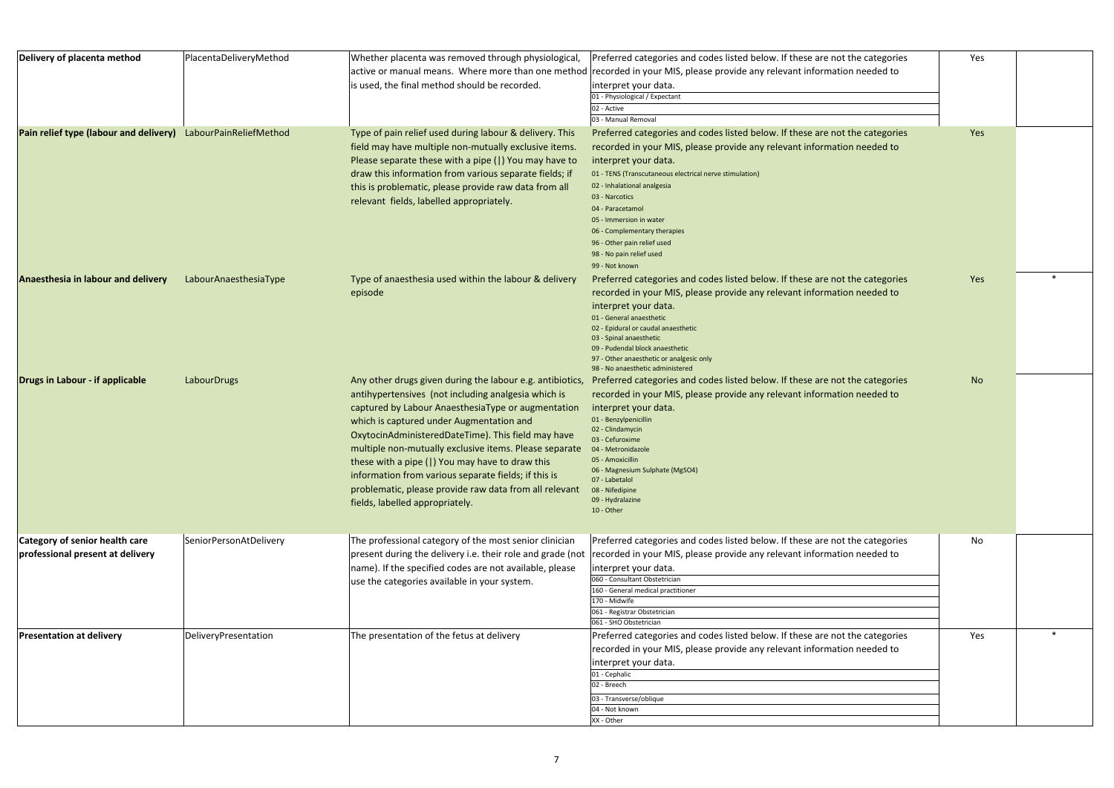| Delivery of placenta method                                        | PlacentaDeliveryMethod | Whether placenta was removed through physiological,<br>is used, the final method should be recorded.                                                                                                                                                                                                                                                                                                                                                                                                                                       | Preferred categories and codes listed below. If these are not the categories<br>active or manual means. Where more than one method recorded in your MIS, please provide any relevant information needed to<br>interpret your data.<br>01 - Physiological / Expectant<br>02 - Active<br>03 - Manual Removal                                                                                                                                              | Yes |  |
|--------------------------------------------------------------------|------------------------|--------------------------------------------------------------------------------------------------------------------------------------------------------------------------------------------------------------------------------------------------------------------------------------------------------------------------------------------------------------------------------------------------------------------------------------------------------------------------------------------------------------------------------------------|---------------------------------------------------------------------------------------------------------------------------------------------------------------------------------------------------------------------------------------------------------------------------------------------------------------------------------------------------------------------------------------------------------------------------------------------------------|-----|--|
| Pain relief type (labour and delivery) LabourPainReliefMethod      |                        | Type of pain relief used during labour & delivery. This<br>field may have multiple non-mutually exclusive items.<br>Please separate these with a pipe ( ) You may have to<br>draw this information from various separate fields; if<br>this is problematic, please provide raw data from all<br>relevant fields, labelled appropriately.                                                                                                                                                                                                   | Preferred categories and codes listed below. If these are not the categories<br>recorded in your MIS, please provide any relevant information needed to<br>interpret your data.<br>01 - TENS (Transcutaneous electrical nerve stimulation)<br>02 - Inhalational analgesia<br>03 - Narcotics<br>04 - Paracetamol<br>05 - Immersion in water<br>06 - Complementary therapies<br>96 - Other pain relief used<br>98 - No pain relief used<br>99 - Not known | Yes |  |
| Anaesthesia in labour and delivery                                 | LabourAnaesthesiaType  | Type of anaesthesia used within the labour & delivery<br>episode                                                                                                                                                                                                                                                                                                                                                                                                                                                                           | Preferred categories and codes listed below. If these are not the categories<br>recorded in your MIS, please provide any relevant information needed to<br>interpret your data.<br>01 - General anaesthetic<br>02 - Epidural or caudal anaesthetic<br>03 - Spinal anaesthetic<br>09 - Pudendal block anaesthetic<br>97 - Other anaesthetic or analgesic only<br>98 - No anaesthetic administered                                                        | Yes |  |
| Drugs in Labour - if applicable                                    | LabourDrugs            | Any other drugs given during the labour e.g. antibiotics,<br>antihypertensives (not including analgesia which is<br>captured by Labour AnaesthesiaType or augmentation<br>which is captured under Augmentation and<br>OxytocinAdministeredDateTime). This field may have<br>multiple non-mutually exclusive items. Please separate<br>these with a pipe ( ) You may have to draw this<br>information from various separate fields; if this is<br>problematic, please provide raw data from all relevant<br>fields, labelled appropriately. | Preferred categories and codes listed below. If these are not the categories<br>recorded in your MIS, please provide any relevant information needed to<br>interpret your data.<br>01 - Benzylpenicillin<br>02 - Clindamycin<br>03 - Cefuroxime<br>04 - Metronidazole<br>05 - Amoxicillin<br>06 - Magnesium Sulphate (MgSO4)<br>07 - Labetalol<br>08 - Nifedipine<br>09 - Hydralazine<br>10 - Other                                                     | No  |  |
| Category of senior health care<br>professional present at delivery | SeniorPersonAtDelivery | The professional category of the most senior clinician<br>present during the delivery i.e. their role and grade (not<br>name). If the specified codes are not available, please<br>use the categories available in your system.                                                                                                                                                                                                                                                                                                            | Preferred categories and codes listed below. If these are not the categories<br>recorded in your MIS, please provide any relevant information needed to<br>interpret your data.<br>060 - Consultant Obstetrician<br>160 - General medical practitioner<br>170 - Midwife<br>061 - Registrar Obstetrician<br>061 - SHO Obstetrician                                                                                                                       | No  |  |
| <b>Presentation at delivery</b>                                    | DeliveryPresentation   | The presentation of the fetus at delivery                                                                                                                                                                                                                                                                                                                                                                                                                                                                                                  | Preferred categories and codes listed below. If these are not the categories<br>recorded in your MIS, please provide any relevant information needed to<br>interpret your data.<br>01 - Cephalic<br>02 - Breech<br>03 - Transverse/oblique<br>04 - Not known<br>XX - Other                                                                                                                                                                              | Yes |  |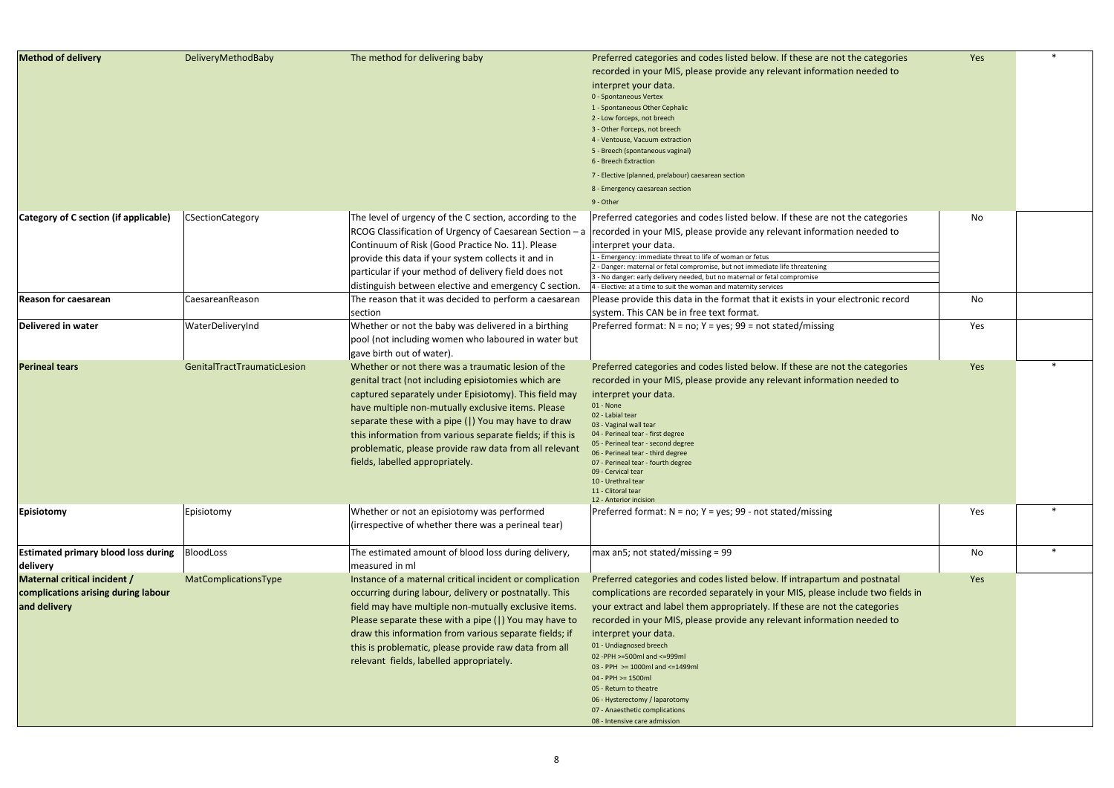| <b>Method of delivery</b>                                                           | DeliveryMethodBaby          | The method for delivering baby                                                                                                                                                                                                                                                                                                                                                                                                            | Preferred categories and codes listed below. If these are not the categories<br>recorded in your MIS, please provide any relevant information needed to<br>interpret your data.<br>0 - Spontaneous Vertex<br>1 - Spontaneous Other Cephalic<br>2 - Low forceps, not breech<br>3 - Other Forceps, not breech<br>4 - Ventouse, Vacuum extraction<br>5 - Breech (spontaneous vaginal)<br>6 - Breech Extraction<br>7 - Elective (planned, prelabour) caesarean section<br>8 - Emergency caesarean section<br>9 - Other                                                                                   | Yes |  |
|-------------------------------------------------------------------------------------|-----------------------------|-------------------------------------------------------------------------------------------------------------------------------------------------------------------------------------------------------------------------------------------------------------------------------------------------------------------------------------------------------------------------------------------------------------------------------------------|------------------------------------------------------------------------------------------------------------------------------------------------------------------------------------------------------------------------------------------------------------------------------------------------------------------------------------------------------------------------------------------------------------------------------------------------------------------------------------------------------------------------------------------------------------------------------------------------------|-----|--|
| Category of C section (if applicable)                                               | <b>CSectionCategory</b>     | The level of urgency of the C section, according to the<br>RCOG Classification of Urgency of Caesarean Section - a<br>Continuum of Risk (Good Practice No. 11). Please<br>provide this data if your system collects it and in<br>particular if your method of delivery field does not<br>distinguish between elective and emergency C section.                                                                                            | Preferred categories and codes listed below. If these are not the categories<br>recorded in your MIS, please provide any relevant information needed to<br>interpret your data.<br>- Emergency: immediate threat to life of woman or fetus<br>2 - Danger: maternal or fetal compromise, but not immediate life threatening<br>3 - No danger: early delivery needed, but no maternal or fetal compromise<br>4 - Elective: at a time to suit the woman and maternity services                                                                                                                          | No  |  |
| <b>Reason for caesarean</b>                                                         | CaesareanReason             | The reason that it was decided to perform a caesarean<br>section                                                                                                                                                                                                                                                                                                                                                                          | Please provide this data in the format that it exists in your electronic record<br>system. This CAN be in free text format.                                                                                                                                                                                                                                                                                                                                                                                                                                                                          | No  |  |
| Delivered in water                                                                  | WaterDeliveryInd            | Whether or not the baby was delivered in a birthing<br>pool (not including women who laboured in water but<br>gave birth out of water).                                                                                                                                                                                                                                                                                                   | Preferred format: $N = no$ ; $Y = yes$ ; 99 = not stated/missing                                                                                                                                                                                                                                                                                                                                                                                                                                                                                                                                     | Yes |  |
| <b>Perineal tears</b>                                                               | GenitalTractTraumaticLesion | Whether or not there was a traumatic lesion of the<br>genital tract (not including episiotomies which are<br>captured separately under Episiotomy). This field may<br>have multiple non-mutually exclusive items. Please<br>separate these with a pipe ( ) You may have to draw<br>this information from various separate fields; if this is<br>problematic, please provide raw data from all relevant<br>fields, labelled appropriately. | Preferred categories and codes listed below. If these are not the categories<br>recorded in your MIS, please provide any relevant information needed to<br>interpret your data.<br>$01 - None$<br>02 - Labial tear<br>03 - Vaginal wall tear<br>04 - Perineal tear - first degree<br>05 - Perineal tear - second degree<br>06 - Perineal tear - third degree<br>07 - Perineal tear - fourth degree<br>09 - Cervical tear<br>10 - Urethral tear<br>11 - Clitoral tear<br>12 - Anterior incision                                                                                                       | Yes |  |
| Episiotomy                                                                          | Episiotomy                  | Whether or not an episiotomy was performed<br>(irrespective of whether there was a perineal tear)                                                                                                                                                                                                                                                                                                                                         | Preferred format: N = no; Y = yes; 99 - not stated/missing                                                                                                                                                                                                                                                                                                                                                                                                                                                                                                                                           | Yes |  |
| <b>Estimated primary blood loss during</b><br>delivery                              | BloodLoss                   | The estimated amount of blood loss during delivery,<br>measured in ml                                                                                                                                                                                                                                                                                                                                                                     | max an5; not stated/missing = 99                                                                                                                                                                                                                                                                                                                                                                                                                                                                                                                                                                     | No  |  |
| Maternal critical incident /<br>complications arising during labour<br>and delivery | MatComplicationsType        | Instance of a maternal critical incident or complication<br>occurring during labour, delivery or postnatally. This<br>field may have multiple non-mutually exclusive items.<br>Please separate these with a pipe ( ) You may have to<br>draw this information from various separate fields; if<br>this is problematic, please provide raw data from all<br>relevant fields, labelled appropriately.                                       | Preferred categories and codes listed below. If intrapartum and postnatal<br>complications are recorded separately in your MIS, please include two fields in<br>your extract and label them appropriately. If these are not the categories<br>recorded in your MIS, please provide any relevant information needed to<br>interpret your data.<br>01 - Undiagnosed breech<br>02 - PPH > = 500ml and <= 999ml<br>03 - PPH >= 1000ml and <= 1499ml<br>04 - PPH >= 1500ml<br>05 - Return to theatre<br>06 - Hysterectomy / laparotomy<br>07 - Anaesthetic complications<br>08 - Intensive care admission | Yes |  |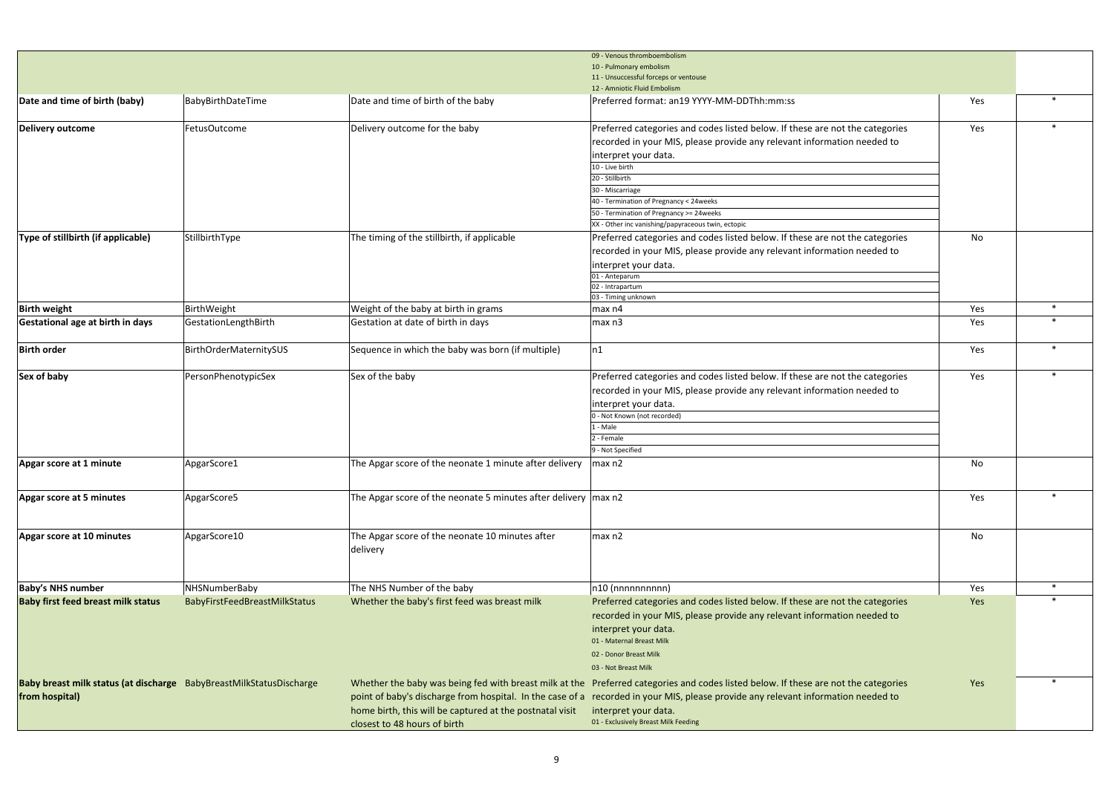|                                                                                                                                                                                                                                                                                                                                                                                                                                                                                                                                                                                                                                                                                                                                                                                                                                                                                                                                                                                                                                                                                                                                                                                                                                                                                                                                                                                                                                                                                                                                                                                                                                                                                                                                                                                                                                                                                                                                                                                                                                                                                                                                                                                                                                                                                                                                                                                                                                                                                                                                                                                                                                                                                                                                                                                                                                                                                                                                                                                                                |              |                               |                                                                              |     | $\ast$<br>$\ast$<br>$\ast$ |
|----------------------------------------------------------------------------------------------------------------------------------------------------------------------------------------------------------------------------------------------------------------------------------------------------------------------------------------------------------------------------------------------------------------------------------------------------------------------------------------------------------------------------------------------------------------------------------------------------------------------------------------------------------------------------------------------------------------------------------------------------------------------------------------------------------------------------------------------------------------------------------------------------------------------------------------------------------------------------------------------------------------------------------------------------------------------------------------------------------------------------------------------------------------------------------------------------------------------------------------------------------------------------------------------------------------------------------------------------------------------------------------------------------------------------------------------------------------------------------------------------------------------------------------------------------------------------------------------------------------------------------------------------------------------------------------------------------------------------------------------------------------------------------------------------------------------------------------------------------------------------------------------------------------------------------------------------------------------------------------------------------------------------------------------------------------------------------------------------------------------------------------------------------------------------------------------------------------------------------------------------------------------------------------------------------------------------------------------------------------------------------------------------------------------------------------------------------------------------------------------------------------------------------------------------------------------------------------------------------------------------------------------------------------------------------------------------------------------------------------------------------------------------------------------------------------------------------------------------------------------------------------------------------------------------------------------------------------------------------------------------------------|--------------|-------------------------------|------------------------------------------------------------------------------|-----|----------------------------|
|                                                                                                                                                                                                                                                                                                                                                                                                                                                                                                                                                                                                                                                                                                                                                                                                                                                                                                                                                                                                                                                                                                                                                                                                                                                                                                                                                                                                                                                                                                                                                                                                                                                                                                                                                                                                                                                                                                                                                                                                                                                                                                                                                                                                                                                                                                                                                                                                                                                                                                                                                                                                                                                                                                                                                                                                                                                                                                                                                                                                                |              |                               |                                                                              |     |                            |
|                                                                                                                                                                                                                                                                                                                                                                                                                                                                                                                                                                                                                                                                                                                                                                                                                                                                                                                                                                                                                                                                                                                                                                                                                                                                                                                                                                                                                                                                                                                                                                                                                                                                                                                                                                                                                                                                                                                                                                                                                                                                                                                                                                                                                                                                                                                                                                                                                                                                                                                                                                                                                                                                                                                                                                                                                                                                                                                                                                                                                |              |                               |                                                                              |     |                            |
|                                                                                                                                                                                                                                                                                                                                                                                                                                                                                                                                                                                                                                                                                                                                                                                                                                                                                                                                                                                                                                                                                                                                                                                                                                                                                                                                                                                                                                                                                                                                                                                                                                                                                                                                                                                                                                                                                                                                                                                                                                                                                                                                                                                                                                                                                                                                                                                                                                                                                                                                                                                                                                                                                                                                                                                                                                                                                                                                                                                                                |              |                               |                                                                              |     |                            |
|                                                                                                                                                                                                                                                                                                                                                                                                                                                                                                                                                                                                                                                                                                                                                                                                                                                                                                                                                                                                                                                                                                                                                                                                                                                                                                                                                                                                                                                                                                                                                                                                                                                                                                                                                                                                                                                                                                                                                                                                                                                                                                                                                                                                                                                                                                                                                                                                                                                                                                                                                                                                                                                                                                                                                                                                                                                                                                                                                                                                                |              |                               |                                                                              |     |                            |
| Delivery outcome                                                                                                                                                                                                                                                                                                                                                                                                                                                                                                                                                                                                                                                                                                                                                                                                                                                                                                                                                                                                                                                                                                                                                                                                                                                                                                                                                                                                                                                                                                                                                                                                                                                                                                                                                                                                                                                                                                                                                                                                                                                                                                                                                                                                                                                                                                                                                                                                                                                                                                                                                                                                                                                                                                                                                                                                                                                                                                                                                                                               | FetusOutcome | Delivery outcome for the baby | Preferred categories and codes listed below. If these are not the categories | Yes |                            |
| 09 - Venous thromboembolism<br>10 - Pulmonary embolism<br>11 - Unsuccessful forceps or ventouse<br>12 - Amniotic Fluid Embolism<br>Date and time of birth (baby)<br>Date and time of birth of the baby<br>BabyBirthDateTime<br>Preferred format: an19 YYYY-MM-DDThh:mm:ss<br>Yes<br>recorded in your MIS, please provide any relevant information needed to<br>interpret your data.<br>10 - Live birth<br>20 - Stillbirth<br>30 - Miscarriage<br>40 - Termination of Pregnancy < 24 weeks<br>50 - Termination of Pregnancy >= 24weeks<br>XX - Other inc vanishing/papyraceous twin, ectopic<br>Type of stillbirth (if applicable)<br>StillbirthType<br>The timing of the stillbirth, if applicable<br>Preferred categories and codes listed below. If these are not the categories<br>No<br>recorded in your MIS, please provide any relevant information needed to<br>interpret your data.<br>01 - Anteparum<br>02 - Intrapartum<br>03 - Timing unknown<br><b>Birth weight</b><br>BirthWeight<br>Weight of the baby at birth in grams<br>Yes<br>$\vert$ max n4<br>Gestation at date of birth in days<br>Gestational age at birth in days<br>GestationLengthBirth<br>$\vert$ max n3<br>Yes<br>Sequence in which the baby was born (if multiple)<br> n1 <br>BirthOrderMaternitySUS<br>Yes<br><b>Birth order</b><br>PersonPhenotypicSex<br>Sex of the baby<br>Preferred categories and codes listed below. If these are not the categories<br>Yes<br>Sex of baby<br>recorded in your MIS, please provide any relevant information needed to<br>interpret your data.<br>0 - Not Known (not recorded)<br>$1 - Male$<br>2 - Female<br>9 - Not Specified<br>ApgarScore1<br>The Apgar score of the neonate 1 minute after delivery<br>$\vert$ max n2<br>No<br>Apgar score at 1 minute<br>The Apgar score of the neonate 5 minutes after delivery max n2<br>Apgar score at 5 minutes<br>ApgarScore5<br>Yes<br>Apgar score at 10 minutes<br>The Apgar score of the neonate 10 minutes after<br>ApgarScore10<br>No<br>max n2<br>delivery<br>NHSNumberBaby<br>The NHS Number of the baby<br>$n10$ (nnnnnnnnnn)<br><b>Baby's NHS number</b><br>Yes<br><b>Baby first feed breast milk status</b><br>Whether the baby's first feed was breast milk<br>Preferred categories and codes listed below. If these are not the categories<br>BabyFirstFeedBreastMilkStatus<br>Yes<br>recorded in your MIS, please provide any relevant information needed to<br>interpret your data.<br>01 - Maternal Breast Milk<br>02 - Donor Breast Milk<br>03 - Not Breast Milk<br>Baby breast milk status (at discharge BabyBreastMilkStatusDischarge<br>Whether the baby was being fed with breast milk at the Preferred categories and codes listed below. If these are not the categories<br>Yes<br>point of baby's discharge from hospital. In the case of a recorded in your MIS, please provide any relevant information needed to<br>from hospital)<br>home birth, this will be captured at the postnatal visit<br>interpret your data. |              |                               |                                                                              |     |                            |
|                                                                                                                                                                                                                                                                                                                                                                                                                                                                                                                                                                                                                                                                                                                                                                                                                                                                                                                                                                                                                                                                                                                                                                                                                                                                                                                                                                                                                                                                                                                                                                                                                                                                                                                                                                                                                                                                                                                                                                                                                                                                                                                                                                                                                                                                                                                                                                                                                                                                                                                                                                                                                                                                                                                                                                                                                                                                                                                                                                                                                |              |                               |                                                                              |     |                            |
|                                                                                                                                                                                                                                                                                                                                                                                                                                                                                                                                                                                                                                                                                                                                                                                                                                                                                                                                                                                                                                                                                                                                                                                                                                                                                                                                                                                                                                                                                                                                                                                                                                                                                                                                                                                                                                                                                                                                                                                                                                                                                                                                                                                                                                                                                                                                                                                                                                                                                                                                                                                                                                                                                                                                                                                                                                                                                                                                                                                                                |              |                               |                                                                              |     |                            |
|                                                                                                                                                                                                                                                                                                                                                                                                                                                                                                                                                                                                                                                                                                                                                                                                                                                                                                                                                                                                                                                                                                                                                                                                                                                                                                                                                                                                                                                                                                                                                                                                                                                                                                                                                                                                                                                                                                                                                                                                                                                                                                                                                                                                                                                                                                                                                                                                                                                                                                                                                                                                                                                                                                                                                                                                                                                                                                                                                                                                                |              |                               |                                                                              |     |                            |
|                                                                                                                                                                                                                                                                                                                                                                                                                                                                                                                                                                                                                                                                                                                                                                                                                                                                                                                                                                                                                                                                                                                                                                                                                                                                                                                                                                                                                                                                                                                                                                                                                                                                                                                                                                                                                                                                                                                                                                                                                                                                                                                                                                                                                                                                                                                                                                                                                                                                                                                                                                                                                                                                                                                                                                                                                                                                                                                                                                                                                |              |                               |                                                                              |     |                            |
|                                                                                                                                                                                                                                                                                                                                                                                                                                                                                                                                                                                                                                                                                                                                                                                                                                                                                                                                                                                                                                                                                                                                                                                                                                                                                                                                                                                                                                                                                                                                                                                                                                                                                                                                                                                                                                                                                                                                                                                                                                                                                                                                                                                                                                                                                                                                                                                                                                                                                                                                                                                                                                                                                                                                                                                                                                                                                                                                                                                                                |              |                               |                                                                              |     |                            |
|                                                                                                                                                                                                                                                                                                                                                                                                                                                                                                                                                                                                                                                                                                                                                                                                                                                                                                                                                                                                                                                                                                                                                                                                                                                                                                                                                                                                                                                                                                                                                                                                                                                                                                                                                                                                                                                                                                                                                                                                                                                                                                                                                                                                                                                                                                                                                                                                                                                                                                                                                                                                                                                                                                                                                                                                                                                                                                                                                                                                                |              |                               |                                                                              |     |                            |
|                                                                                                                                                                                                                                                                                                                                                                                                                                                                                                                                                                                                                                                                                                                                                                                                                                                                                                                                                                                                                                                                                                                                                                                                                                                                                                                                                                                                                                                                                                                                                                                                                                                                                                                                                                                                                                                                                                                                                                                                                                                                                                                                                                                                                                                                                                                                                                                                                                                                                                                                                                                                                                                                                                                                                                                                                                                                                                                                                                                                                |              |                               |                                                                              |     |                            |
|                                                                                                                                                                                                                                                                                                                                                                                                                                                                                                                                                                                                                                                                                                                                                                                                                                                                                                                                                                                                                                                                                                                                                                                                                                                                                                                                                                                                                                                                                                                                                                                                                                                                                                                                                                                                                                                                                                                                                                                                                                                                                                                                                                                                                                                                                                                                                                                                                                                                                                                                                                                                                                                                                                                                                                                                                                                                                                                                                                                                                |              |                               |                                                                              |     |                            |
|                                                                                                                                                                                                                                                                                                                                                                                                                                                                                                                                                                                                                                                                                                                                                                                                                                                                                                                                                                                                                                                                                                                                                                                                                                                                                                                                                                                                                                                                                                                                                                                                                                                                                                                                                                                                                                                                                                                                                                                                                                                                                                                                                                                                                                                                                                                                                                                                                                                                                                                                                                                                                                                                                                                                                                                                                                                                                                                                                                                                                |              |                               |                                                                              |     |                            |
|                                                                                                                                                                                                                                                                                                                                                                                                                                                                                                                                                                                                                                                                                                                                                                                                                                                                                                                                                                                                                                                                                                                                                                                                                                                                                                                                                                                                                                                                                                                                                                                                                                                                                                                                                                                                                                                                                                                                                                                                                                                                                                                                                                                                                                                                                                                                                                                                                                                                                                                                                                                                                                                                                                                                                                                                                                                                                                                                                                                                                |              |                               |                                                                              |     |                            |
|                                                                                                                                                                                                                                                                                                                                                                                                                                                                                                                                                                                                                                                                                                                                                                                                                                                                                                                                                                                                                                                                                                                                                                                                                                                                                                                                                                                                                                                                                                                                                                                                                                                                                                                                                                                                                                                                                                                                                                                                                                                                                                                                                                                                                                                                                                                                                                                                                                                                                                                                                                                                                                                                                                                                                                                                                                                                                                                                                                                                                |              |                               |                                                                              |     |                            |
|                                                                                                                                                                                                                                                                                                                                                                                                                                                                                                                                                                                                                                                                                                                                                                                                                                                                                                                                                                                                                                                                                                                                                                                                                                                                                                                                                                                                                                                                                                                                                                                                                                                                                                                                                                                                                                                                                                                                                                                                                                                                                                                                                                                                                                                                                                                                                                                                                                                                                                                                                                                                                                                                                                                                                                                                                                                                                                                                                                                                                |              |                               |                                                                              |     |                            |
|                                                                                                                                                                                                                                                                                                                                                                                                                                                                                                                                                                                                                                                                                                                                                                                                                                                                                                                                                                                                                                                                                                                                                                                                                                                                                                                                                                                                                                                                                                                                                                                                                                                                                                                                                                                                                                                                                                                                                                                                                                                                                                                                                                                                                                                                                                                                                                                                                                                                                                                                                                                                                                                                                                                                                                                                                                                                                                                                                                                                                |              |                               |                                                                              |     |                            |
|                                                                                                                                                                                                                                                                                                                                                                                                                                                                                                                                                                                                                                                                                                                                                                                                                                                                                                                                                                                                                                                                                                                                                                                                                                                                                                                                                                                                                                                                                                                                                                                                                                                                                                                                                                                                                                                                                                                                                                                                                                                                                                                                                                                                                                                                                                                                                                                                                                                                                                                                                                                                                                                                                                                                                                                                                                                                                                                                                                                                                |              |                               |                                                                              |     |                            |
|                                                                                                                                                                                                                                                                                                                                                                                                                                                                                                                                                                                                                                                                                                                                                                                                                                                                                                                                                                                                                                                                                                                                                                                                                                                                                                                                                                                                                                                                                                                                                                                                                                                                                                                                                                                                                                                                                                                                                                                                                                                                                                                                                                                                                                                                                                                                                                                                                                                                                                                                                                                                                                                                                                                                                                                                                                                                                                                                                                                                                |              |                               |                                                                              |     |                            |
|                                                                                                                                                                                                                                                                                                                                                                                                                                                                                                                                                                                                                                                                                                                                                                                                                                                                                                                                                                                                                                                                                                                                                                                                                                                                                                                                                                                                                                                                                                                                                                                                                                                                                                                                                                                                                                                                                                                                                                                                                                                                                                                                                                                                                                                                                                                                                                                                                                                                                                                                                                                                                                                                                                                                                                                                                                                                                                                                                                                                                |              |                               |                                                                              |     |                            |
|                                                                                                                                                                                                                                                                                                                                                                                                                                                                                                                                                                                                                                                                                                                                                                                                                                                                                                                                                                                                                                                                                                                                                                                                                                                                                                                                                                                                                                                                                                                                                                                                                                                                                                                                                                                                                                                                                                                                                                                                                                                                                                                                                                                                                                                                                                                                                                                                                                                                                                                                                                                                                                                                                                                                                                                                                                                                                                                                                                                                                |              |                               |                                                                              |     |                            |
|                                                                                                                                                                                                                                                                                                                                                                                                                                                                                                                                                                                                                                                                                                                                                                                                                                                                                                                                                                                                                                                                                                                                                                                                                                                                                                                                                                                                                                                                                                                                                                                                                                                                                                                                                                                                                                                                                                                                                                                                                                                                                                                                                                                                                                                                                                                                                                                                                                                                                                                                                                                                                                                                                                                                                                                                                                                                                                                                                                                                                |              |                               |                                                                              |     |                            |
|                                                                                                                                                                                                                                                                                                                                                                                                                                                                                                                                                                                                                                                                                                                                                                                                                                                                                                                                                                                                                                                                                                                                                                                                                                                                                                                                                                                                                                                                                                                                                                                                                                                                                                                                                                                                                                                                                                                                                                                                                                                                                                                                                                                                                                                                                                                                                                                                                                                                                                                                                                                                                                                                                                                                                                                                                                                                                                                                                                                                                |              |                               |                                                                              |     |                            |
|                                                                                                                                                                                                                                                                                                                                                                                                                                                                                                                                                                                                                                                                                                                                                                                                                                                                                                                                                                                                                                                                                                                                                                                                                                                                                                                                                                                                                                                                                                                                                                                                                                                                                                                                                                                                                                                                                                                                                                                                                                                                                                                                                                                                                                                                                                                                                                                                                                                                                                                                                                                                                                                                                                                                                                                                                                                                                                                                                                                                                |              |                               |                                                                              |     |                            |
|                                                                                                                                                                                                                                                                                                                                                                                                                                                                                                                                                                                                                                                                                                                                                                                                                                                                                                                                                                                                                                                                                                                                                                                                                                                                                                                                                                                                                                                                                                                                                                                                                                                                                                                                                                                                                                                                                                                                                                                                                                                                                                                                                                                                                                                                                                                                                                                                                                                                                                                                                                                                                                                                                                                                                                                                                                                                                                                                                                                                                |              |                               |                                                                              |     |                            |
|                                                                                                                                                                                                                                                                                                                                                                                                                                                                                                                                                                                                                                                                                                                                                                                                                                                                                                                                                                                                                                                                                                                                                                                                                                                                                                                                                                                                                                                                                                                                                                                                                                                                                                                                                                                                                                                                                                                                                                                                                                                                                                                                                                                                                                                                                                                                                                                                                                                                                                                                                                                                                                                                                                                                                                                                                                                                                                                                                                                                                |              |                               |                                                                              |     |                            |
|                                                                                                                                                                                                                                                                                                                                                                                                                                                                                                                                                                                                                                                                                                                                                                                                                                                                                                                                                                                                                                                                                                                                                                                                                                                                                                                                                                                                                                                                                                                                                                                                                                                                                                                                                                                                                                                                                                                                                                                                                                                                                                                                                                                                                                                                                                                                                                                                                                                                                                                                                                                                                                                                                                                                                                                                                                                                                                                                                                                                                |              |                               |                                                                              |     |                            |
|                                                                                                                                                                                                                                                                                                                                                                                                                                                                                                                                                                                                                                                                                                                                                                                                                                                                                                                                                                                                                                                                                                                                                                                                                                                                                                                                                                                                                                                                                                                                                                                                                                                                                                                                                                                                                                                                                                                                                                                                                                                                                                                                                                                                                                                                                                                                                                                                                                                                                                                                                                                                                                                                                                                                                                                                                                                                                                                                                                                                                |              |                               |                                                                              |     |                            |
|                                                                                                                                                                                                                                                                                                                                                                                                                                                                                                                                                                                                                                                                                                                                                                                                                                                                                                                                                                                                                                                                                                                                                                                                                                                                                                                                                                                                                                                                                                                                                                                                                                                                                                                                                                                                                                                                                                                                                                                                                                                                                                                                                                                                                                                                                                                                                                                                                                                                                                                                                                                                                                                                                                                                                                                                                                                                                                                                                                                                                |              |                               |                                                                              |     |                            |
|                                                                                                                                                                                                                                                                                                                                                                                                                                                                                                                                                                                                                                                                                                                                                                                                                                                                                                                                                                                                                                                                                                                                                                                                                                                                                                                                                                                                                                                                                                                                                                                                                                                                                                                                                                                                                                                                                                                                                                                                                                                                                                                                                                                                                                                                                                                                                                                                                                                                                                                                                                                                                                                                                                                                                                                                                                                                                                                                                                                                                |              |                               |                                                                              |     |                            |
|                                                                                                                                                                                                                                                                                                                                                                                                                                                                                                                                                                                                                                                                                                                                                                                                                                                                                                                                                                                                                                                                                                                                                                                                                                                                                                                                                                                                                                                                                                                                                                                                                                                                                                                                                                                                                                                                                                                                                                                                                                                                                                                                                                                                                                                                                                                                                                                                                                                                                                                                                                                                                                                                                                                                                                                                                                                                                                                                                                                                                |              |                               |                                                                              |     |                            |
|                                                                                                                                                                                                                                                                                                                                                                                                                                                                                                                                                                                                                                                                                                                                                                                                                                                                                                                                                                                                                                                                                                                                                                                                                                                                                                                                                                                                                                                                                                                                                                                                                                                                                                                                                                                                                                                                                                                                                                                                                                                                                                                                                                                                                                                                                                                                                                                                                                                                                                                                                                                                                                                                                                                                                                                                                                                                                                                                                                                                                |              |                               |                                                                              |     |                            |
|                                                                                                                                                                                                                                                                                                                                                                                                                                                                                                                                                                                                                                                                                                                                                                                                                                                                                                                                                                                                                                                                                                                                                                                                                                                                                                                                                                                                                                                                                                                                                                                                                                                                                                                                                                                                                                                                                                                                                                                                                                                                                                                                                                                                                                                                                                                                                                                                                                                                                                                                                                                                                                                                                                                                                                                                                                                                                                                                                                                                                |              |                               |                                                                              |     |                            |
|                                                                                                                                                                                                                                                                                                                                                                                                                                                                                                                                                                                                                                                                                                                                                                                                                                                                                                                                                                                                                                                                                                                                                                                                                                                                                                                                                                                                                                                                                                                                                                                                                                                                                                                                                                                                                                                                                                                                                                                                                                                                                                                                                                                                                                                                                                                                                                                                                                                                                                                                                                                                                                                                                                                                                                                                                                                                                                                                                                                                                |              |                               |                                                                              |     |                            |
|                                                                                                                                                                                                                                                                                                                                                                                                                                                                                                                                                                                                                                                                                                                                                                                                                                                                                                                                                                                                                                                                                                                                                                                                                                                                                                                                                                                                                                                                                                                                                                                                                                                                                                                                                                                                                                                                                                                                                                                                                                                                                                                                                                                                                                                                                                                                                                                                                                                                                                                                                                                                                                                                                                                                                                                                                                                                                                                                                                                                                |              |                               |                                                                              |     |                            |
|                                                                                                                                                                                                                                                                                                                                                                                                                                                                                                                                                                                                                                                                                                                                                                                                                                                                                                                                                                                                                                                                                                                                                                                                                                                                                                                                                                                                                                                                                                                                                                                                                                                                                                                                                                                                                                                                                                                                                                                                                                                                                                                                                                                                                                                                                                                                                                                                                                                                                                                                                                                                                                                                                                                                                                                                                                                                                                                                                                                                                |              |                               |                                                                              |     |                            |
|                                                                                                                                                                                                                                                                                                                                                                                                                                                                                                                                                                                                                                                                                                                                                                                                                                                                                                                                                                                                                                                                                                                                                                                                                                                                                                                                                                                                                                                                                                                                                                                                                                                                                                                                                                                                                                                                                                                                                                                                                                                                                                                                                                                                                                                                                                                                                                                                                                                                                                                                                                                                                                                                                                                                                                                                                                                                                                                                                                                                                |              |                               |                                                                              |     |                            |
|                                                                                                                                                                                                                                                                                                                                                                                                                                                                                                                                                                                                                                                                                                                                                                                                                                                                                                                                                                                                                                                                                                                                                                                                                                                                                                                                                                                                                                                                                                                                                                                                                                                                                                                                                                                                                                                                                                                                                                                                                                                                                                                                                                                                                                                                                                                                                                                                                                                                                                                                                                                                                                                                                                                                                                                                                                                                                                                                                                                                                |              |                               |                                                                              |     |                            |
|                                                                                                                                                                                                                                                                                                                                                                                                                                                                                                                                                                                                                                                                                                                                                                                                                                                                                                                                                                                                                                                                                                                                                                                                                                                                                                                                                                                                                                                                                                                                                                                                                                                                                                                                                                                                                                                                                                                                                                                                                                                                                                                                                                                                                                                                                                                                                                                                                                                                                                                                                                                                                                                                                                                                                                                                                                                                                                                                                                                                                |              |                               |                                                                              |     |                            |
|                                                                                                                                                                                                                                                                                                                                                                                                                                                                                                                                                                                                                                                                                                                                                                                                                                                                                                                                                                                                                                                                                                                                                                                                                                                                                                                                                                                                                                                                                                                                                                                                                                                                                                                                                                                                                                                                                                                                                                                                                                                                                                                                                                                                                                                                                                                                                                                                                                                                                                                                                                                                                                                                                                                                                                                                                                                                                                                                                                                                                |              |                               |                                                                              |     |                            |
|                                                                                                                                                                                                                                                                                                                                                                                                                                                                                                                                                                                                                                                                                                                                                                                                                                                                                                                                                                                                                                                                                                                                                                                                                                                                                                                                                                                                                                                                                                                                                                                                                                                                                                                                                                                                                                                                                                                                                                                                                                                                                                                                                                                                                                                                                                                                                                                                                                                                                                                                                                                                                                                                                                                                                                                                                                                                                                                                                                                                                |              |                               |                                                                              |     |                            |
|                                                                                                                                                                                                                                                                                                                                                                                                                                                                                                                                                                                                                                                                                                                                                                                                                                                                                                                                                                                                                                                                                                                                                                                                                                                                                                                                                                                                                                                                                                                                                                                                                                                                                                                                                                                                                                                                                                                                                                                                                                                                                                                                                                                                                                                                                                                                                                                                                                                                                                                                                                                                                                                                                                                                                                                                                                                                                                                                                                                                                |              |                               |                                                                              |     |                            |
|                                                                                                                                                                                                                                                                                                                                                                                                                                                                                                                                                                                                                                                                                                                                                                                                                                                                                                                                                                                                                                                                                                                                                                                                                                                                                                                                                                                                                                                                                                                                                                                                                                                                                                                                                                                                                                                                                                                                                                                                                                                                                                                                                                                                                                                                                                                                                                                                                                                                                                                                                                                                                                                                                                                                                                                                                                                                                                                                                                                                                |              |                               |                                                                              |     |                            |
| 01 - Exclusively Breast Milk Feeding<br>closest to 48 hours of birth                                                                                                                                                                                                                                                                                                                                                                                                                                                                                                                                                                                                                                                                                                                                                                                                                                                                                                                                                                                                                                                                                                                                                                                                                                                                                                                                                                                                                                                                                                                                                                                                                                                                                                                                                                                                                                                                                                                                                                                                                                                                                                                                                                                                                                                                                                                                                                                                                                                                                                                                                                                                                                                                                                                                                                                                                                                                                                                                           |              |                               |                                                                              |     |                            |
|                                                                                                                                                                                                                                                                                                                                                                                                                                                                                                                                                                                                                                                                                                                                                                                                                                                                                                                                                                                                                                                                                                                                                                                                                                                                                                                                                                                                                                                                                                                                                                                                                                                                                                                                                                                                                                                                                                                                                                                                                                                                                                                                                                                                                                                                                                                                                                                                                                                                                                                                                                                                                                                                                                                                                                                                                                                                                                                                                                                                                |              |                               |                                                                              |     |                            |
|                                                                                                                                                                                                                                                                                                                                                                                                                                                                                                                                                                                                                                                                                                                                                                                                                                                                                                                                                                                                                                                                                                                                                                                                                                                                                                                                                                                                                                                                                                                                                                                                                                                                                                                                                                                                                                                                                                                                                                                                                                                                                                                                                                                                                                                                                                                                                                                                                                                                                                                                                                                                                                                                                                                                                                                                                                                                                                                                                                                                                |              |                               |                                                                              |     |                            |
|                                                                                                                                                                                                                                                                                                                                                                                                                                                                                                                                                                                                                                                                                                                                                                                                                                                                                                                                                                                                                                                                                                                                                                                                                                                                                                                                                                                                                                                                                                                                                                                                                                                                                                                                                                                                                                                                                                                                                                                                                                                                                                                                                                                                                                                                                                                                                                                                                                                                                                                                                                                                                                                                                                                                                                                                                                                                                                                                                                                                                |              |                               |                                                                              |     |                            |